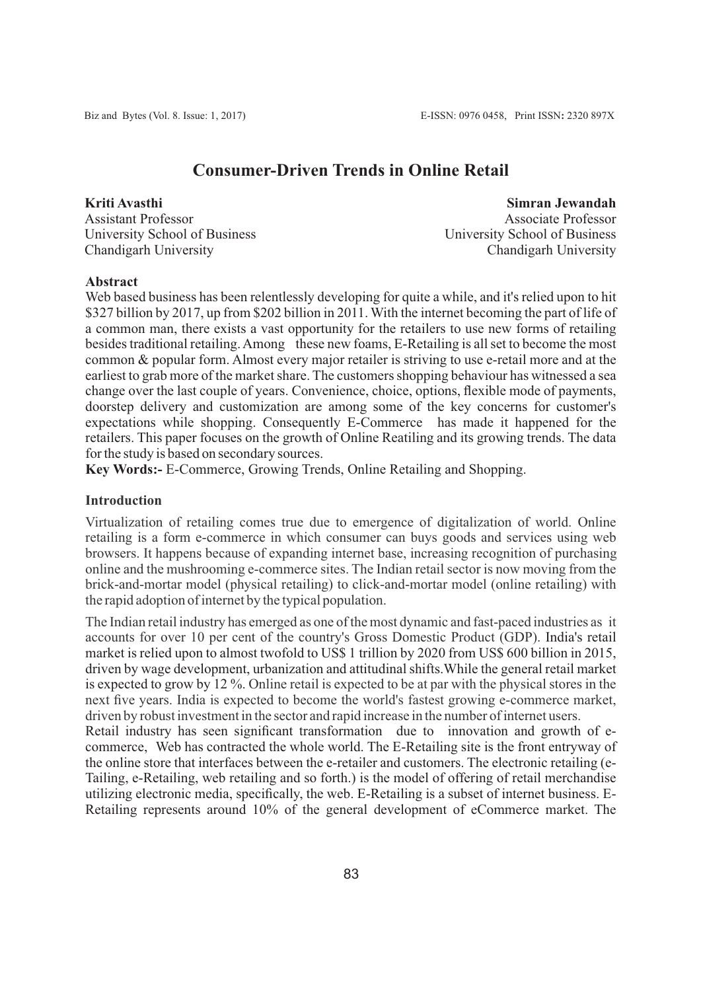# **Consumer-Driven Trends in Online Retail**

**Kriti Avasthi** Assistant Professor University School of Business Chandigarh University

**Simran Jewandah** Associate Professor University School of Business Chandigarh University

## **Abstract**

Web based business has been relentlessly developing for quite a while, and it's relied upon to hit \$327 billion by 2017, up from \$202 billion in 2011. With the internet becoming the part of life of a common man, there exists a vast opportunity for the retailers to use new forms of retailing besides traditional retailing. Among these new foams, E-Retailing is all set to become the most common & popular form. Almost every major retailer is striving to use e-retail more and at the earliest to grab more of the market share. The customers shopping behaviour has witnessed a sea change over the last couple of years. Convenience, choice, options, flexible mode of payments, doorstep delivery and customization are among some of the key concerns for customer's expectations while shopping. Consequently E-Commerce has made it happened for the retailers. This paper focuses on the growth of Online Reatiling and its growing trends. The data for the study is based on secondary sources.

**Key Words:-** E-Commerce, Growing Trends, Online Retailing and Shopping.

### **Introduction**

Virtualization of retailing comes true due to emergence of digitalization of world. Online retailing is a form e-commerce in which consumer can buys goods and services using web browsers. It happens because of expanding internet base, increasing recognition of purchasing online and the mushrooming e-commerce sites. The Indian retail sector is now moving from the brick-and-mortar model (physical retailing) to click-and-mortar model (online retailing) with the rapid adoption of internet by the typical population.

The Indian retail industry has emerged as one of the most dynamic and fast-paced industries as it accounts for over 10 per cent of the country's Gross Domestic Product (GDP). India's retail market is relied upon to almost twofold to US\$ 1 trillion by 2020 from US\$ 600 billion in 2015, driven by wage development, urbanization and attitudinal shifts.While the general retail market is expected to grow by 12 %. Online retail is expected to be at par with the physical stores in the next five years. India is expected to become the world's fastest growing e-commerce market, driven by robust investment in the sector and rapid increase in the number of internet users.

Retail industry has seen significant transformation due to innovation and growth of ecommerce, Web has contracted the whole world. The E-Retailing site is the front entryway of the online store that interfaces between the e-retailer and customers. The electronic retailing (e-Tailing, e-Retailing, web retailing and so forth.) is the model of offering of retail merchandise utilizing electronic media, specifically, the web. E-Retailing is a subset of internet business. E-Retailing represents around 10% of the general development of eCommerce market. The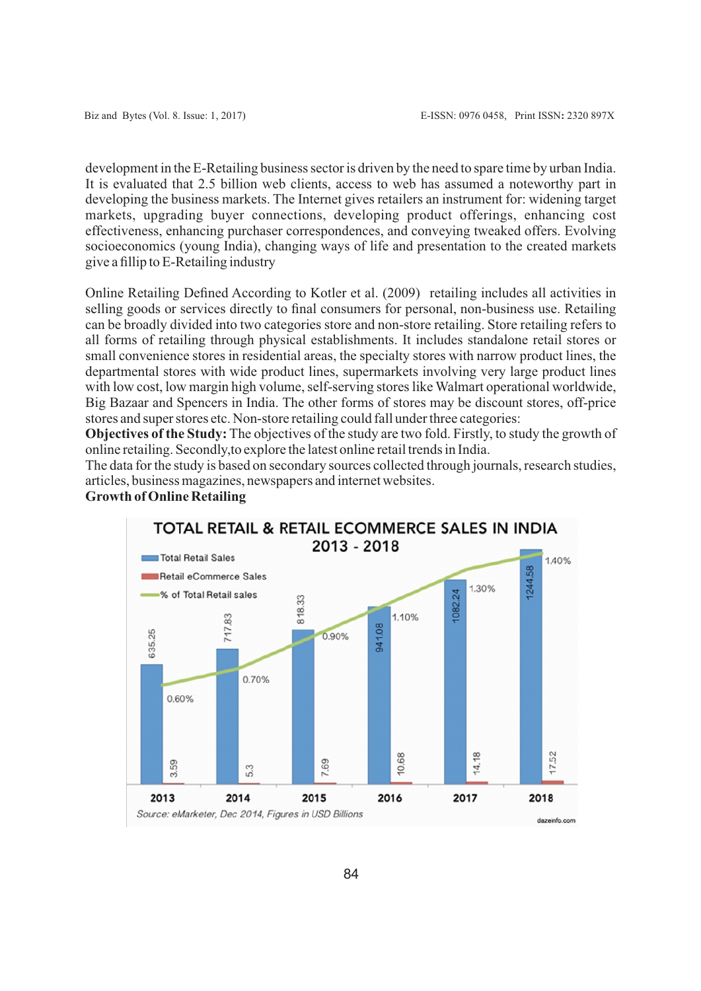development in the E-Retailing business sector is driven by the need to spare time by urban India. It is evaluated that 2.5 billion web clients, access to web has assumed a noteworthy part in developing the business markets. The Internet gives retailers an instrument for: widening target markets, upgrading buyer connections, developing product offerings, enhancing cost effectiveness, enhancing purchaser correspondences, and conveying tweaked offers. Evolving socioeconomics (young India), changing ways of life and presentation to the created markets give a fillip to E-Retailing industry

Online Retailing Defined According to Kotler et al. (2009) retailing includes all activities in selling goods or services directly to final consumers for personal, non-business use. Retailing can be broadly divided into two categories store and non-store retailing. Store retailing refers to all forms of retailing through physical establishments. It includes standalone retail stores or small convenience stores in residential areas, the specialty stores with narrow product lines, the departmental stores with wide product lines, supermarkets involving very large product lines with low cost, low margin high volume, self-serving stores like Walmart operational worldwide, Big Bazaar and Spencers in India. The other forms of stores may be discount stores, off-price stores and super stores etc. Non-store retailing could fall under three categories:

**Objectives of the Study:** The objectives of the study are two fold. Firstly, to study the growth of online retailing. Secondly,to explore the latest online retail trends in India.

The data for the study is based on secondary sources collected through journals, research studies, articles, business magazines, newspapers and internet websites.

**Growth of Online Retailing**

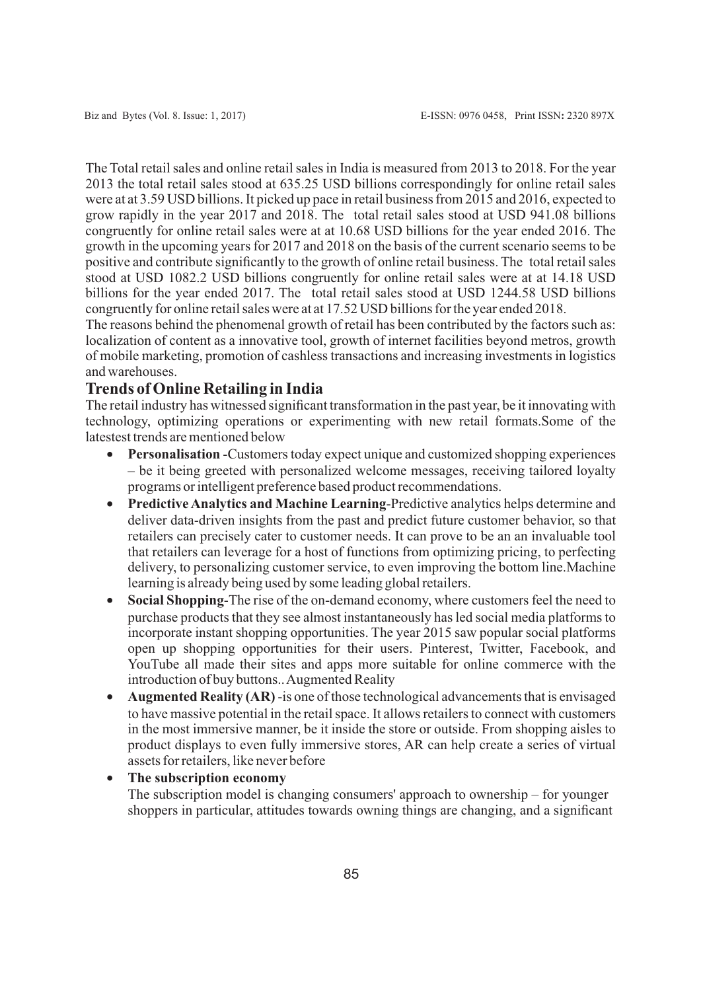The Total retail sales and online retail sales in India is measured from 2013 to 2018. For the year 2013 the total retail sales stood at 635.25 USD billions correspondingly for online retail sales were at at 3.59 USD billions. It picked up pace in retail business from 2015 and 2016, expected to grow rapidly in the year 2017 and 2018. The total retail sales stood at USD 941.08 billions congruently for online retail sales were at at 10.68 USD billions for the year ended 2016. The growth in the upcoming years for 2017 and 2018 on the basis of the current scenario seems to be positive and contribute significantly to the growth of online retail business. The total retail sales stood at USD 1082.2 USD billions congruently for online retail sales were at at 14.18 USD billions for the year ended 2017. The total retail sales stood at USD 1244.58 USD billions congruently for online retail sales were at at 17.52 USD billions for the year ended 2018.

The reasons behind the phenomenal growth of retail has been contributed by the factors such as: localization of content as a innovative tool, growth of internet facilities beyond metros, growth of mobile marketing, promotion of cashless transactions and increasing investments in logistics and warehouses.

## **Trends of Online Retailing in India**

The retail industry has witnessed significant transformation in the past year, be it innovating with technology, optimizing operations or experimenting with new retail formats.Some of the latestest trends are mentioned below

- · **Personalisation** -Customers today expect unique and customized shopping experiences – be it being greeted with personalized welcome messages, receiving tailored loyalty programs or intelligent preference based product recommendations.
- · **Predictive Analytics and Machine Learning**-Predictive analytics helps determine and deliver data-driven insights from the past and predict future customer behavior, so that retailers can precisely cater to customer needs. It can prove to be an an invaluable tool that retailers can leverage for a host of functions from optimizing pricing, to perfecting delivery, to personalizing customer service, to even improving the bottom line.Machine learning is already being used by some leading global retailers.
- · **Social Shopping**-The rise of the on-demand economy, where customers feel the need to purchase products that they see almost instantaneously has led social media platforms to incorporate instant shopping opportunities. The year 2015 saw popular social platforms open up shopping opportunities for their users. Pinterest, Twitter, Facebook, and YouTube all made their sites and apps more suitable for online commerce with the introduction of buy buttons.. Augmented Reality
- · **Augmented Reality (AR)** -is one of those technological advancements that is envisaged to have massive potential in the retail space. It allows retailers to connect with customers in the most immersive manner, be it inside the store or outside. From shopping aisles to product displays to even fully immersive stores, AR can help create a series of virtual assets for retailers, like never before

## · **The subscription economy**

The subscription model is changing consumers' approach to ownership – for younger shoppers in particular, attitudes towards owning things are changing, and a significant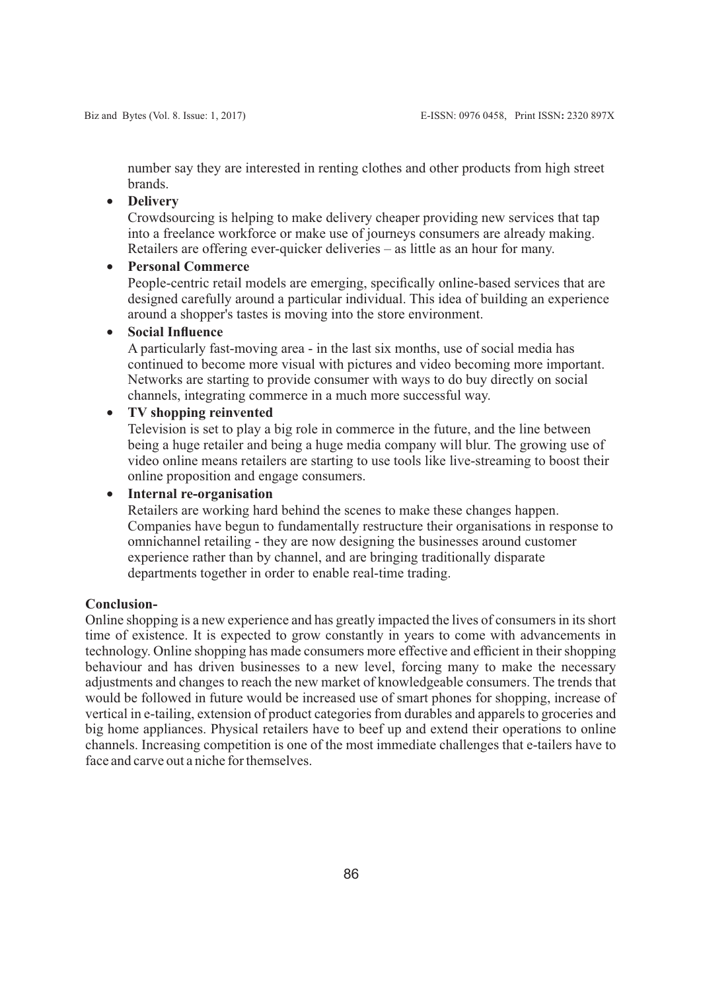number say they are interested in renting clothes and other products from high street brands.

## · **Delivery**

Crowdsourcing is helping to make delivery cheaper providing new services that tap into a freelance workforce or make use of journeys consumers are already making. Retailers are offering ever-quicker deliveries – as little as an hour for many.

## · **Personal Commerce**

People-centric retail models are emerging, specifically online-based services that are designed carefully around a particular individual. This idea of building an experience around a shopper's tastes is moving into the store environment.

## · **Social Influence**

A particularly fast-moving area - in the last six months, use of social media has continued to become more visual with pictures and video becoming more important. Networks are starting to provide consumer with ways to do buy directly on social channels, integrating commerce in a much more successful way.

## · **TV shopping reinvented**

Television is set to play a big role in commerce in the future, and the line between being a huge retailer and being a huge media company will blur. The growing use of video online means retailers are starting to use tools like live-streaming to boost their online proposition and engage consumers.

· **Internal re-organisation**

Retailers are working hard behind the scenes to make these changes happen. Companies have begun to fundamentally restructure their organisations in response to omnichannel retailing - they are now designing the businesses around customer experience rather than by channel, and are bringing traditionally disparate departments together in order to enable real-time trading.

#### **Conclusion-**

Online shopping is a new experience and has greatly impacted the lives of consumers in its short time of existence. It is expected to grow constantly in years to come with advancements in technology. Online shopping has made consumers more effective and efficient in their shopping behaviour and has driven businesses to a new level, forcing many to make the necessary adjustments and changes to reach the new market of knowledgeable consumers. The trends that would be followed in future would be increased use of smart phones for shopping, increase of vertical in e-tailing, extension of product categories from durables and apparels to groceries and big home appliances. Physical retailers have to beef up and extend their operations to online channels. Increasing competition is one of the most immediate challenges that e-tailers have to face and carve out a niche for themselves.